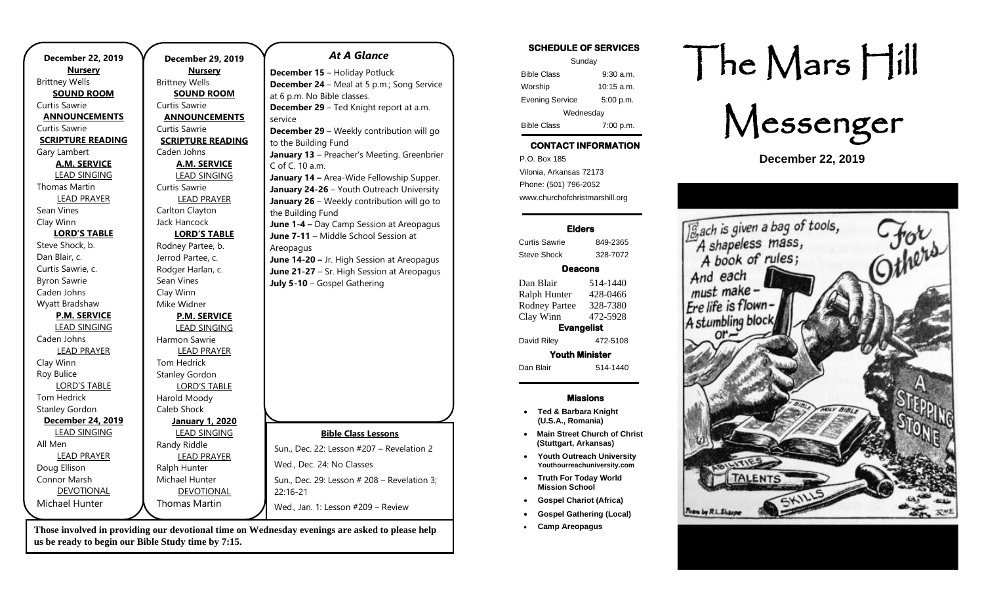| <b>December 22, 2019</b> | December 29, 20       |
|--------------------------|-----------------------|
| <b>Nursery</b>           | <u>Nursery</u>        |
| <b>Brittney Wells</b>    | <b>Brittney Wells</b> |
| <b>SOUND ROOM</b>        | <b>SOUND ROOM</b>     |
| Curtis Sawrie            | Curtis Sawrie         |
| <b>ANNOUNCEMENTS</b>     | <b>ANNOUNCEMEN</b>    |
| Curtis Sawrie            | Curtis Sawrie         |
| <b>SCRIPTURE READING</b> | <b>SCRIPTURE READ</b> |
| Gary Lambert             | Caden Johns           |
| <b>A.M. SERVICE</b>      | <b>A.M. SERVICE</b>   |
| <b>LEAD SINGING</b>      | <b>LEAD SINGING</b>   |
| <b>Thomas Martin</b>     | Curtis Sawrie         |
| <b>LEAD PRAYER</b>       | <b>LEAD PRAYER</b>    |
| Sean Vines               | Carlton Clayton       |
| Clay Winn                | Jack Hancock          |
| <b>LORD'S TABLE</b>      | <b>LORD'S TABLE</b>   |
| Steve Shock, b.          | Rodney Partee, b.     |
| Dan Blair, c.            | Jerrod Partee, c.     |
| Curtis Sawrie, c.        | Rodger Harlan, c.     |
| <b>Byron Sawrie</b>      | Sean Vines            |
| Caden Johns              | Clay Winn             |
| Wyatt Bradshaw           | Mike Widner           |
| <b>P.M. SERVICE</b>      | <b>P.M. SERVICE</b>   |
| <b>LEAD SINGING</b>      | <b>LEAD SINGING</b>   |
| Caden Johns              | Harmon Sawrie         |
| <b>LEAD PRAYER</b>       | <b>LEAD PRAYER</b>    |
| Clay Winn                | Tom Hedrick           |
| Roy Bulice               | <b>Stanley Gordon</b> |
| <b>LORD'S TABLE</b>      | <b>LORD'S TABLE</b>   |
| Tom Hedrick              | Harold Moody          |
| <b>Stanley Gordon</b>    | Caleb Shock           |
| December 24, 2019        | <b>January 1, 202</b> |
| <b>LEAD SINGING</b>      | <b>LEAD SINGING</b>   |
| All Men                  | Randy Riddle          |
| <b>LEAD PRAYER</b>       | <b>LEAD PRAYER</b>    |
| Doug Ellison             | Ralph Hunter          |
| Connor Marsh             | Michael Hunter        |
| DEVOTIONAL               | <b>DEVOTIONAL</b>     |
| Michael Hunter           | <b>Thomas Martin</b>  |
|                          |                       |

**us be ready to begin our Bible Study time by 7:15.** 

#### **Dec**. 2019 **Nursery** 00M **MENTS EADING AICE SING LYER ABLE**  $b$ . C. **PICE GING LYER ABLE January 1, 2020 SING LYER** *At A Glance*  **December 15** – Holiday Potluck **December 24** – Meal at 5 p.m.; Song Service at 6 p.m. No Bible classes. **December 29** – Ted Knight report at a.m. service **December 29** – Weekly contribution will go to the Building Fund **January 13** – Preacher's Meeting. Greenbrier C of C. 10 a.m. **January 14 –** Area-Wide Fellowship Supper. **January 24-26** – Youth Outreach University **January 26** – Weekly contribution will go to the Building Fund **June 1-4 –** Day Camp Session at Areopagus **June 7-11** – Middle School Session at Areopagus **July 5-10** – Gospel Gathering Wed., Dec. 24: No Classes

22:16-21

**Those involved in providing our devotional time on Wednesday evenings are asked to please help** 

**June 14-20 –** Jr. High Session at Areopagus **June 21-27** – Sr. High Session at Areopagus **Bible Class Lessons** Sun., Dec. 22: Lesson #207 – Revelation 2 Sun., Dec. 29: Lesson # 208 – Revelation 3;

Wed., Jan. 1: Lesson #209 – Review

## **SCHEDULE OF SERVICES**  Sunday

| ounuay                 |              |  |
|------------------------|--------------|--|
| <b>Bible Class</b>     | $9:30$ a.m.  |  |
| Worship                | $10:15$ a.m. |  |
| <b>Evening Service</b> | 5:00 p.m.    |  |
| Wednesday              |              |  |
| <b>Bible Class</b>     | 7:00 p.m.    |  |

# **CONTACT INFORMATION**

. .o. Box 166<br>Vilonia, Arkansas 72173 P.O. Box 185 Phone: (501) 796-2052 www.churchofchristmarshill.org

## **Elders**

Curtis Sawrie 849-2365 Steve Shock 328-7072

## **Deacons**

Dan Blair 514-1440 Ralph Hunter 428-0466 Rodney Partee 328-7380 Clay Winn 472-5928 **Evangelist** 

David Riley 472-5108

**Youth Minister** 

Dan Blair 514-1440

### **Missions**

- **Ted & Barbara Knight (U.S.A., Romania)**
- **Main Street Church of Christ (Stuttgart, Arkansas)**
- **Youth Outreach University Youthourreachuniversity.com**
- **Truth For Today World Mission School**
- **Gospel Chariot (Africa)**
- **Gospel Gathering (Local)**
- **Camp Areopagus**

# The Mars Hill

Messenger

**December 22, 2019**